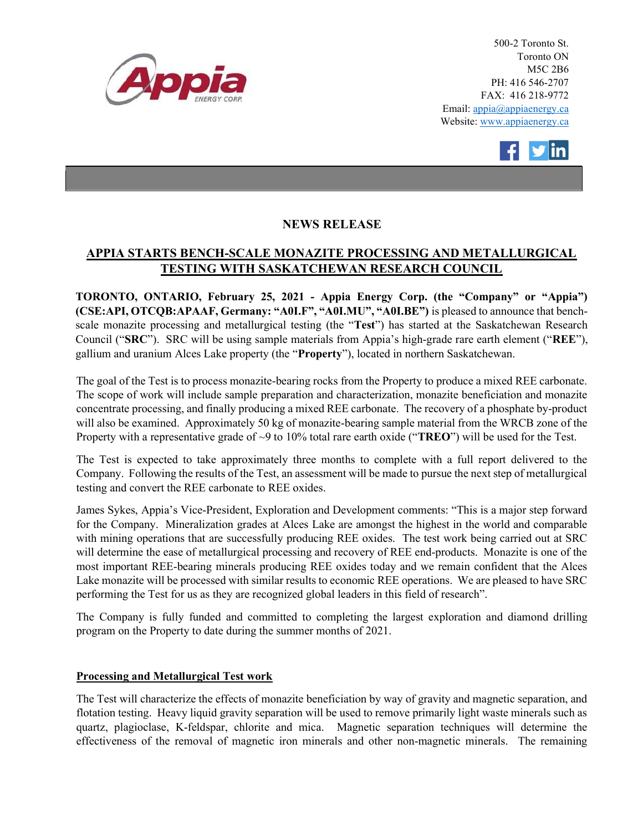

500-2 Toronto St. Toronto ON M5C 2B6 PH: 416 546-2707 FAX: 416 218-9772 Email: appia@appiaenergy.ca Website: www.appiaenergy.ca



# NEWS RELEASE

# APPIA STARTS BENCH-SCALE MONAZITE PROCESSING AND METALLURGICAL TESTING WITH SASKATCHEWAN RESEARCH COUNCIL

TORONTO, ONTARIO, February 25, 2021 - Appia Energy Corp. (the "Company" or "Appia") (CSE:API, OTCQB:APAAF, Germany: "A0I.F", "A0I.MU", "A0I.BE") is pleased to announce that benchscale monazite processing and metallurgical testing (the "Test") has started at the Saskatchewan Research Council ("SRC"). SRC will be using sample materials from Appia's high-grade rare earth element ("REE"), gallium and uranium Alces Lake property (the "Property"), located in northern Saskatchewan.

The goal of the Test is to process monazite-bearing rocks from the Property to produce a mixed REE carbonate. The scope of work will include sample preparation and characterization, monazite beneficiation and monazite concentrate processing, and finally producing a mixed REE carbonate. The recovery of a phosphate by-product will also be examined. Approximately 50 kg of monazite-bearing sample material from the WRCB zone of the Property with a representative grade of  $\sim$ 9 to 10% total rare earth oxide ("**TREO**") will be used for the Test.

The Test is expected to take approximately three months to complete with a full report delivered to the Company. Following the results of the Test, an assessment will be made to pursue the next step of metallurgical testing and convert the REE carbonate to REE oxides.

James Sykes, Appia's Vice-President, Exploration and Development comments: "This is a major step forward for the Company. Mineralization grades at Alces Lake are amongst the highest in the world and comparable with mining operations that are successfully producing REE oxides. The test work being carried out at SRC will determine the ease of metallurgical processing and recovery of REE end-products. Monazite is one of the most important REE-bearing minerals producing REE oxides today and we remain confident that the Alces Lake monazite will be processed with similar results to economic REE operations. We are pleased to have SRC performing the Test for us as they are recognized global leaders in this field of research".

The Company is fully funded and committed to completing the largest exploration and diamond drilling program on the Property to date during the summer months of 2021.

## Processing and Metallurgical Test work

The Test will characterize the effects of monazite beneficiation by way of gravity and magnetic separation, and flotation testing. Heavy liquid gravity separation will be used to remove primarily light waste minerals such as quartz, plagioclase, K-feldspar, chlorite and mica. Magnetic separation techniques will determine the effectiveness of the removal of magnetic iron minerals and other non-magnetic minerals. The remaining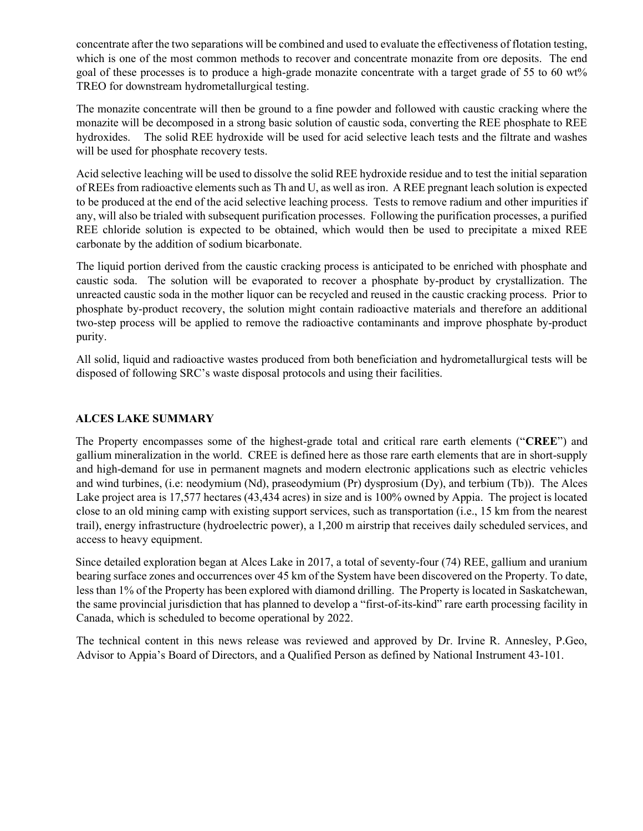concentrate after the two separations will be combined and used to evaluate the effectiveness of flotation testing, which is one of the most common methods to recover and concentrate monazite from ore deposits. The end goal of these processes is to produce a high-grade monazite concentrate with a target grade of 55 to 60 wt% TREO for downstream hydrometallurgical testing.

The monazite concentrate will then be ground to a fine powder and followed with caustic cracking where the monazite will be decomposed in a strong basic solution of caustic soda, converting the REE phosphate to REE hydroxides. The solid REE hydroxide will be used for acid selective leach tests and the filtrate and washes will be used for phosphate recovery tests.

Acid selective leaching will be used to dissolve the solid REE hydroxide residue and to test the initial separation of REEs from radioactive elements such as Th and U, as well as iron. A REE pregnant leach solution is expected to be produced at the end of the acid selective leaching process. Tests to remove radium and other impurities if any, will also be trialed with subsequent purification processes. Following the purification processes, a purified REE chloride solution is expected to be obtained, which would then be used to precipitate a mixed REE carbonate by the addition of sodium bicarbonate.

The liquid portion derived from the caustic cracking process is anticipated to be enriched with phosphate and caustic soda. The solution will be evaporated to recover a phosphate by-product by crystallization. The unreacted caustic soda in the mother liquor can be recycled and reused in the caustic cracking process. Prior to phosphate by-product recovery, the solution might contain radioactive materials and therefore an additional two-step process will be applied to remove the radioactive contaminants and improve phosphate by-product purity.

All solid, liquid and radioactive wastes produced from both beneficiation and hydrometallurgical tests will be disposed of following SRC's waste disposal protocols and using their facilities.

### ALCES LAKE SUMMARY

The Property encompasses some of the highest-grade total and critical rare earth elements ("CREE") and gallium mineralization in the world. CREE is defined here as those rare earth elements that are in short-supply and high-demand for use in permanent magnets and modern electronic applications such as electric vehicles and wind turbines, (i.e: neodymium (Nd), praseodymium (Pr) dysprosium (Dy), and terbium (Tb)). The Alces Lake project area is 17,577 hectares (43,434 acres) in size and is 100% owned by Appia. The project is located close to an old mining camp with existing support services, such as transportation (i.e., 15 km from the nearest trail), energy infrastructure (hydroelectric power), a 1,200 m airstrip that receives daily scheduled services, and access to heavy equipment.

Since detailed exploration began at Alces Lake in 2017, a total of seventy-four (74) REE, gallium and uranium bearing surface zones and occurrences over 45 km of the System have been discovered on the Property. To date, less than 1% of the Property has been explored with diamond drilling. The Property is located in Saskatchewan, the same provincial jurisdiction that has planned to develop a "first-of-its-kind" rare earth processing facility in Canada, which is scheduled to become operational by 2022.

The technical content in this news release was reviewed and approved by Dr. Irvine R. Annesley, P.Geo, Advisor to Appia's Board of Directors, and a Qualified Person as defined by National Instrument 43-101.